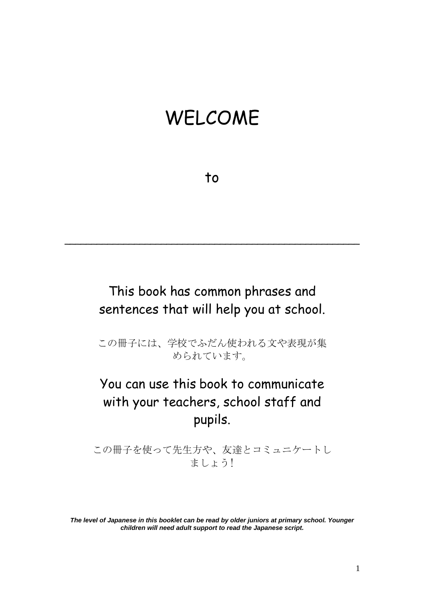## WELCOME

to

#### This book has common phrases and sentences that will help you at school.

\_\_\_\_\_\_\_\_\_\_\_\_\_\_\_\_\_\_\_\_\_\_\_\_\_\_\_\_\_\_\_\_\_\_\_\_\_\_\_\_\_\_\_\_\_\_\_\_\_\_\_\_\_\_\_

この冊子には、学校でふだん使われる文や表現が集 められています。

#### You can use this book to communicate with your teachers, school staff and pupils.

この冊子を使って先生方や、友達とコミュニケートし ましょう!

*The level of Japanese in this booklet can be read by older juniors at primary school. Younger children will need adult support to read the Japanese script.*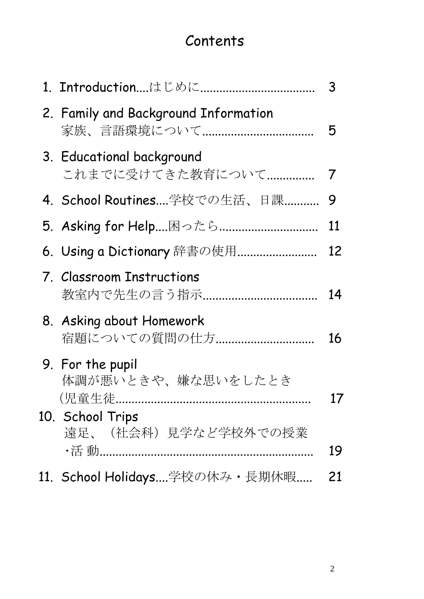## **Contents**

|                                               | 3              |
|-----------------------------------------------|----------------|
| 2. Family and Background Information          | 5              |
| 3. Educational background<br>これまでに受けてきた教育について | $\overline{I}$ |
| 4. School Routines学校での生活、日課                   | 9              |
|                                               | <u>11</u>      |
| 6. Using a Dictionary 辞書の使用                   | 12             |
| 7. Classroom Instructions                     | 14             |
| 8. Asking about Homework<br>宿題についての質問の仕方      | 16             |
| 9. For the pupil<br>体調が悪いときや、嫌な思いをしたとき        | 17             |
| 10. School Trips<br>遠足、(社会科)見学など学校外での授業       | 19             |
| 11. School Holidays学校の休み・長期休暇                 | 21             |
|                                               |                |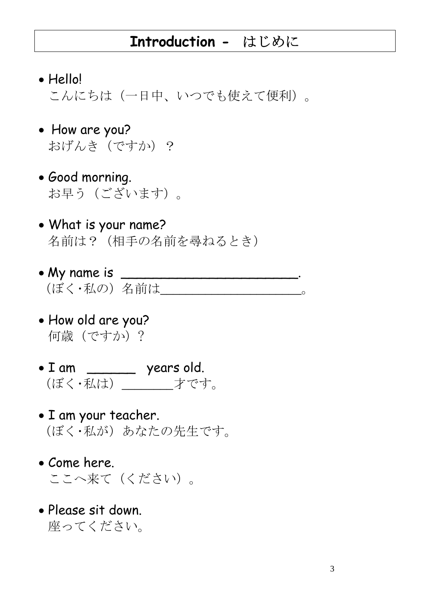#### **Introduction -** はじめに

- Hello! こんにちは(一日中、いつでも使えて便利)。
- How are you? おげんき(ですか)?
- Good morning. お早う(ございます)。
- What is your name? 名前は? (相手の名前を尋ねるとき)
- My name is \_\_\_\_\_\_\_\_\_\_\_\_\_\_\_\_\_\_\_\_\_\_. (ぼく・私の) 名前は
- How old are you? 何歳(ですか)?
- I am \_\_\_\_\_\_ years old. (ぼく・私は)\_\_\_\_\_\_\_\_才です。
- I am your teacher. (ぼく・私が)あなたの先生です。
- Come here. ここへ来て(ください)。
- Please sit down. 座ってください。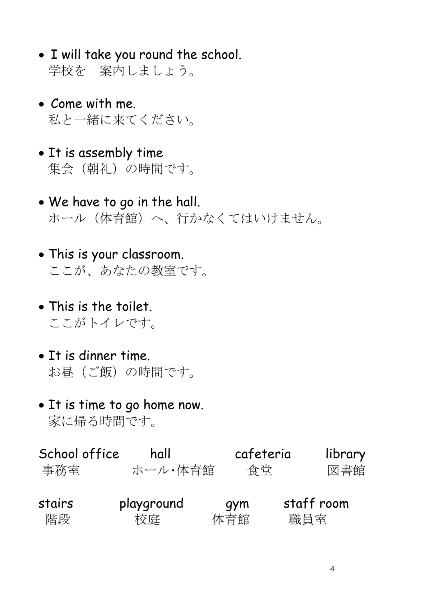- I will take you round the school. 学校を 案内しましょう。
- Come with me. 私と一緒に来てください。
- It is assembly time 集会(朝礼)の時間です。
- We have to go in the hall. ホール(体育館)へ、行かなくてはいけません。
- This is your classroom. ここが、あなたの教室です。
- This is the toilet. ここがトイレです。
- It is dinner time. お昼(ご飯)の時間です。
- It is time to go home now. 家に帰る時間です。

| School office | hall       |     | cafeteria | library    |
|---------------|------------|-----|-----------|------------|
| 事務室           | ホール・体育館    |     | 食堂        | 図書館        |
| stairs        | playground | qym |           | staff room |
| 階段            | 校庭         | 体育館 | 職員室       |            |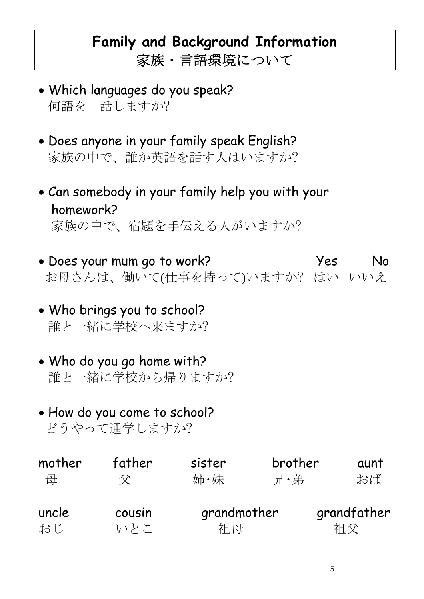## **Family and Background Information**  家族・言語環境について

- Which languages do you speak? 何語を 話しますか?
- Does anyone in your family speak English? 家族の中で、誰か英語を話す人はいますか?
- Can somebody in your family help you with your homework? 家族の中で、宿題を手伝える人がいますか?
- Does your mum go to work? Yes No お母さんは、働いて(仕事を持って)いますか? はい いいえ
- Who brings you to school? 誰と一緒に学校へ来ますか?
- Who do you go home with? 誰と一緒に学校から帰りますか?
- How do you come to school? どうやって通学しますか?

| mother | father | sister      | brother | aunt        |
|--------|--------|-------------|---------|-------------|
| 母      | 父      | 姉·妹         | 兄・弟     | おば          |
| uncle  | cousin | grandmother |         | grandfather |
| おじ     | いとこ    | 祖母          |         | 相父          |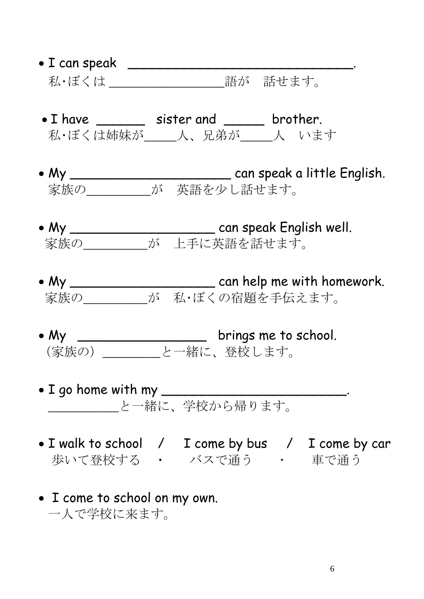- I can speak \_\_\_\_\_\_\_\_\_\_\_\_\_\_\_\_\_\_\_\_\_\_\_\_\_\_\_\_. 私・ぼくは \_\_\_\_\_\_\_\_\_\_\_\_\_\_\_\_\_\_\_\_\_\_\_\_\_\_\_語が 話せます。
- I have \_\_\_\_\_\_\_ sister and \_\_\_\_\_ brother. 私・ぼくは姉妹が \_\_\_\_\_人、兄弟が\_\_\_\_\_人 います
- My \_\_\_\_\_\_\_\_\_\_\_\_\_\_\_\_\_\_\_\_ can speak a little English. 家族の\_\_\_\_\_\_\_\_\_\_が 英語を少し話せます。
- My \_\_\_\_\_\_\_\_\_\_\_\_\_\_\_\_\_\_ can speak English well. 家族の\_\_\_\_\_\_\_\_\_\_が 上手に英語を話せます。
- My \_\_\_\_\_\_\_\_\_\_\_\_\_\_\_\_\_\_ can help me with homework. 家族の\_\_\_\_\_\_\_\_\_\_が 私・ぼくの宿題を手伝えます。
- My  $\_\_\_\_\_\_\_\_\_\_\_\_\_$  brings me to school. (家族の)\_\_\_\_\_\_\_\_\_と一緒に、登校します。
- I go home with my \_\_\_\_\_\_\_\_\_\_\_\_\_\_\_\_\_\_\_\_\_\_\_. \_\_\_\_\_\_\_\_\_\_\_と一緒に、学校から帰ります。
- I walk to school / I come by bus / I come by car 歩いて登校する ・ バスで通う ・ 車で通う
- I come to school on my own. 一人で学校に来ます。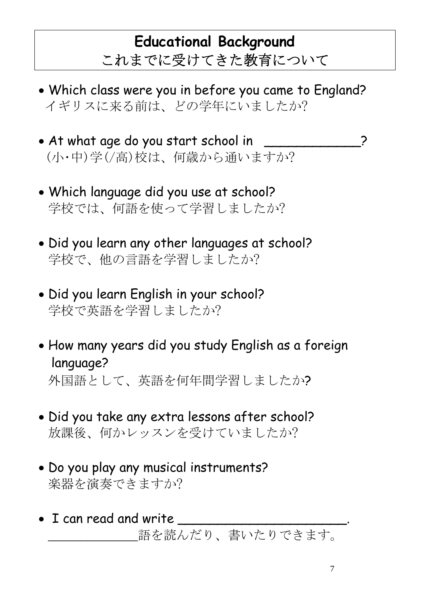## **Educational Background**  これまでに受けてきた教育について

- Which class were you in before you came to England? イギリスに来る前は、どの学年にいましたか?
- At what age do you start school in \_\_\_\_\_\_\_\_\_\_\_\_? (小・中)学(/高)校は、何歳から通いますか?
- Which language did you use at school? 学校では、何語を使って学習しましたか?
- Did you learn any other languages at school? 学校で、他の言語を学習しましたか?
- Did you learn English in your school? 学校で英語を学習しましたか?
- How many years did you study English as a foreign language? 外国語として、英語を何年間学習しましたか?
- Did you take any extra lessons after school? 放課後、何かレッスンを受けていましたか?
- Do you play any musical instruments? 楽器を演奏できますか?
- I can read and write 語を読んだり、書いたりできます。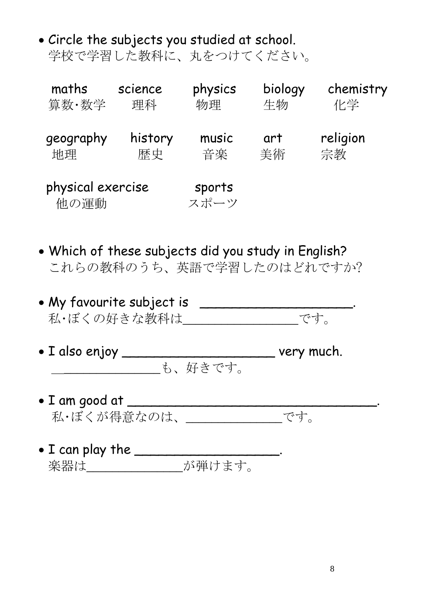• Circle the subjects you studied at school. 学校で学習した教科に、丸をつけてください。

| maths                     | science | physics        | biology | chemistry |
|---------------------------|---------|----------------|---------|-----------|
| 算数·数学                     | 理科      | 物理             | 生物      | 化学        |
| geography                 | history | music          | art     | religion  |
| 地理                        | 歴史      | 音楽             | 美術      | 宗教        |
| physical exercise<br>他の運動 |         | sports<br>スポーツ |         |           |

- Which of these subjects did you study in English? これらの教科のうち、英語で学習したのはどれですか?
- My favourite subject is \_\_\_\_\_\_\_\_\_\_\_\_\_\_\_\_\_\_\_\_\_\_\_\_. 私・ぼくの好きな教科は\_\_\_\_\_\_\_\_\_\_\_\_\_\_\_\_\_\_です。
- I also enjoy \_\_\_\_\_\_\_\_\_\_\_\_\_\_\_\_\_\_\_ very much. \_\_\_\_\_\_\_\_\_\_\_\_\_\_\_\_も、好きです。
- I am good at \_\_\_\_\_\_\_\_\_\_\_\_\_\_\_\_\_\_\_\_\_\_\_\_\_\_\_\_\_\_\_. 私・ぼくが得意なのは、\_\_\_\_\_\_\_\_\_\_\_\_\_\_\_です。
- $\bullet$  I can play the \_\_\_\_\_\_\_\_\_\_\_\_\_\_\_\_\_\_\_. 楽器は\_\_\_\_\_\_\_\_\_\_\_\_\_\_\_\_\_\_が弾けます。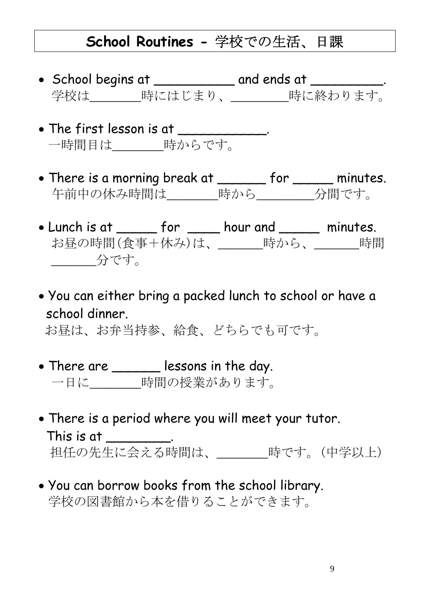#### **School Routines -** 学校での生活、日課

- School begins at \_\_\_\_\_\_\_\_\_\_ and ends at \_\_\_\_\_\_\_\_\_. 学校は\_\_\_\_\_\_\_\_時にはじまり、\_\_\_\_\_\_\_\_\_時に終わります。
- The first lesson is at \_\_\_\_\_\_\_ 一時間目は\_\_\_\_\_\_\_\_時からです。
- There is a morning break at \_\_\_\_\_\_ for \_\_\_\_\_ minutes. 午前中の休み時間は\_\_\_\_\_\_\_\_時から\_\_\_\_\_\_\_\_\_分間です。
- Lunch is at \_\_\_\_\_ for \_\_\_\_ hour and \_\_\_\_\_ minutes. お昼の時間(食事+休み)は、\_\_\_\_\_\_時から、\_\_\_\_\_\_時間 \_\_\_\_\_\_\_分です。
- You can either bring a packed lunch to school or have a school dinner.

お昼は、お弁当持参、給食、どちらでも可です。

- There are \_\_\_\_\_\_ lessons in the day. 一日に\_\_\_\_\_\_\_\_時間の授業があります。
- There is a period where you will meet your tutor. This is at  $\qquad \qquad$ . 担任の先生に会える時間は、\_\_\_\_\_\_\_\_時です。(中学以上)
- You can borrow books from the school library. 学校の図書館から本を借りることができます。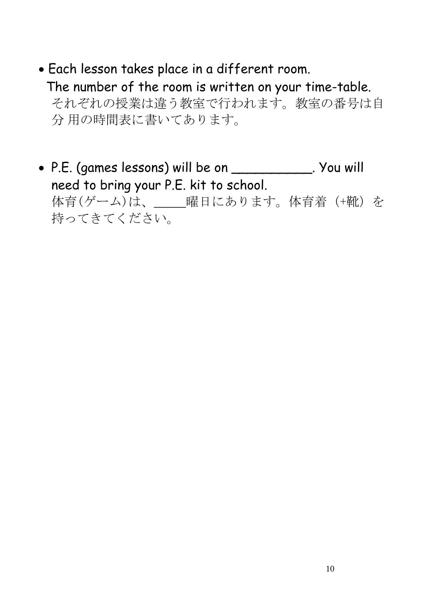- Each lesson takes place in a different room. The number of the room is written on your time-table. それぞれの授業は違う教室で行われます。教室の番号は自 分 用の時間表に書いてあります。
- P.E. (games lessons) will be on \_\_\_\_\_\_\_\_\_\_. You will need to bring your P.E. kit to school. 体育(ゲーム)は、 ||確日にあります。体育着(+靴)を 持ってきてください。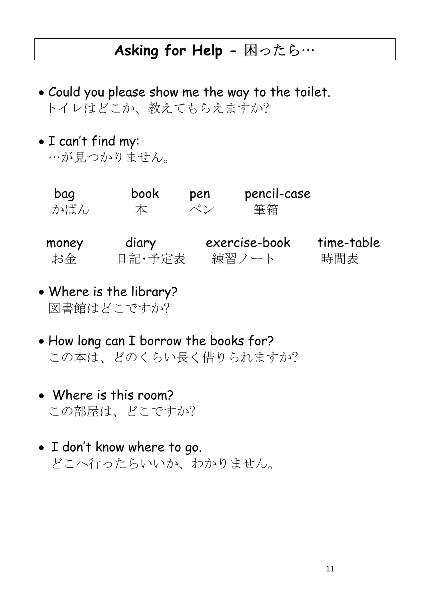### **Asking for Help - 困ったら…**

- Could you please show me the way to the toilet. トイレはどこか、教えてもらえますか?
- I can't find my:
	- …が見つかりません。

| bag   | book   | pen           | pencil-case   |            |
|-------|--------|---------------|---------------|------------|
| かばん   | 本      | $\mathcal{N}$ | 筆箱            |            |
| money | diary  |               | exercise-book | time-table |
| お金    | 日記·予定表 |               | 練習ノート         | 時間表        |

- Where is the library? 図書館はどこですか?
- How long can I borrow the books for? この本は、どのくらい長く借りられますか?
- Where is this room? この部屋は、どこですか?
- I don't know where to go. どこへ行ったらいいか、わかりません。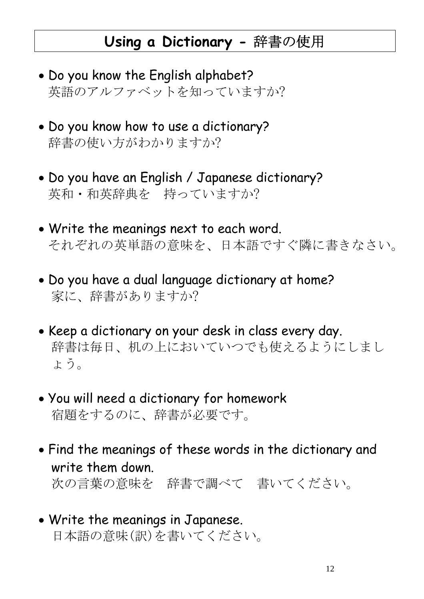#### **Using a Dictionary -** 辞書の使用

- Do you know the English alphabet? 英語のアルファベットを知っていますか?
- Do you know how to use a dictionary? 辞書の使い方がわかりますか?
- Do you have an English / Japanese dictionary? 英和・和英辞典を 持っていますか?
- Write the meanings next to each word. それぞれの英単語の意味を、日本語ですぐ隣に書きなさい。
- Do you have a dual language dictionary at home? 家に、辞書がありますか?
- Keep a dictionary on your desk in class every day. 辞書は毎日、机の上においていつでも使えるようにしまし ょう。
- You will need a dictionary for homework 宿題をするのに、辞書が必要です。
- Find the meanings of these words in the dictionary and write them down. 次の言葉の意味を 辞書で調べて 書いてください。
- Write the meanings in Japanese. 日本語の意味(訳)を書いてください。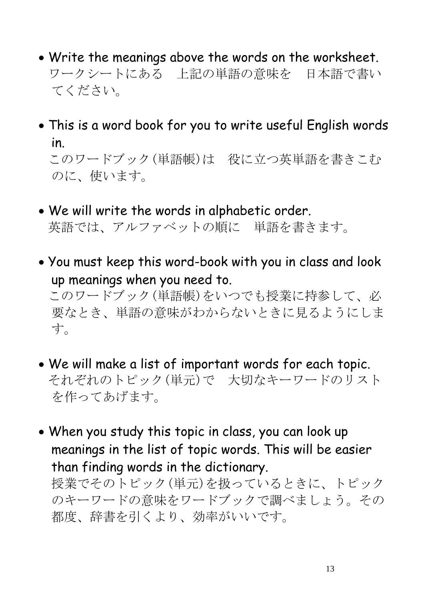- Write the meanings above the words on the worksheet. ワークシートにある 上記の単語の意味を 日本語で書い てください。
- This is a word book for you to write useful English words in. このワードブック(単語帳)は 役に立つ英単語を書きこむ のに、使います。
- We will write the words in alphabetic order. 英語では、アルファベットの順に 単語を書きます。
- You must keep this word-book with you in class and look up meanings when you need to. このワードブック(単語帳)をいつでも授業に持参して、必 要なとき、単語の意味がわからないときに見るようにしま す。
- We will make a list of important words for each topic. それぞれのトピック(単元)で 大切なキーワードのリスト を作ってあげます。
- When you study this topic in class, you can look up meanings in the list of topic words. This will be easier than finding words in the dictionary. 授業でそのトピック(単元)を扱っているときに、トピック のキーワードの意味をワードブックで調べましょう。その 都度、辞書を引くより、効率がいいです。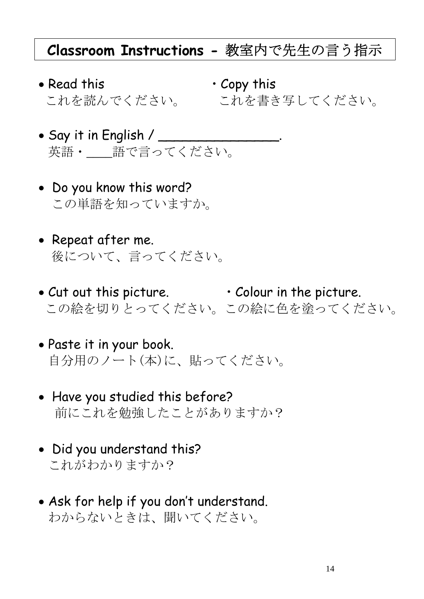#### **Classroom Instructions -** 教室内で先生の言う指示

- Read this Copy this
	- これを読んでください。 これを書き写してください。
- Say it in English /  $\_\_$ 英語・\_\_\_語で言ってください。
- Do you know this word? この単語を知っていますか。
- Repeat after me. 後について、言ってください。
- Cut out this picture. Colour in the picture. この絵を切りとってください。この絵に色を塗ってください。
- Paste it in your book. 自分用のノート(本)に、貼ってください。
- Have you studied this before? 前にこれを勉強したことがありますか?
- Did you understand this? これがわかりますか?
- Ask for help if you don't understand. わからないときは、聞いてください。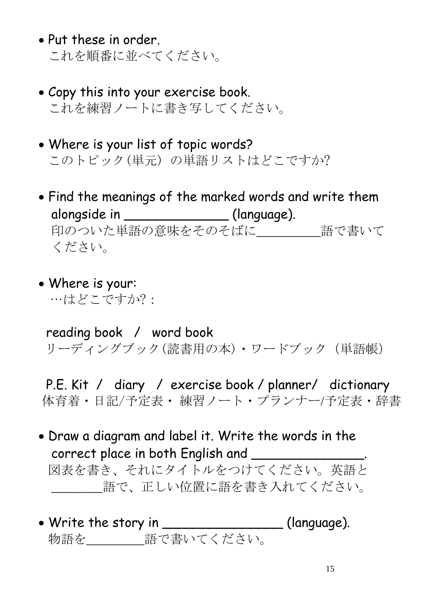- Put these in order. これを順番に並べてください。
- Copy this into your exercise book. これを練習ノートに書き写してください。
- Where is your list of topic words? このトピック(単元) の単語リストはどこですか?
- Find the meanings of the marked words and write them alongside in \_\_\_\_\_\_\_\_\_\_\_\_\_\_\_\_ (language). 印のついた単語の意味をそのそばに 語で書いて ください。
- Where is your: …はどこですか?:

 reading book / word book リーディングブック(読書用の本)・ワードブック (単語帳)

 P.E. Kit / diary / exercise book / planner/ dictionary 体育着・日記/予定表・ 練習ノート・プランナー/予定表・辞書

- Draw a diagram and label it. Write the words in the correct place in both English and 図表を書き、それにタイトルをつけてください。英語と 語で、正しい位置に語を書き入れてください。
- Write the story in \_\_\_\_\_\_\_\_\_\_\_\_\_\_\_\_\_\_(language). 物語を\_\_\_\_\_\_\_\_\_語で書いてください。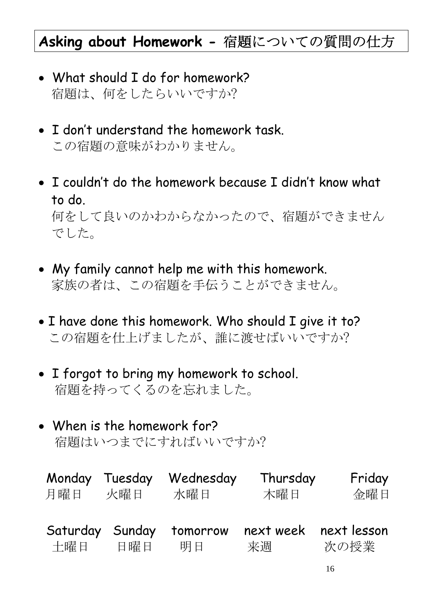## **Asking about Homework -** 宿題についての質問の仕方

- What should I do for homework? 宿題は、何をしたらいいですか?
- I don't understand the homework task. この宿題の意味がわかりません。
- I couldn't do the homework because I didn't know what to do. 何をして良いのかわからなかったので、宿題ができません でした。
- My family cannot help me with this homework. 家族の者は、この宿題を手伝うことができません。
- I have done this homework. Who should I give it to? この宿題を仕上げましたが、誰に渡せばいいですか?
- I forgot to bring my homework to school. 宿題を持ってくるのを忘れました。
- When is the homework for? 宿題はいつまでにすればいいですか?

| Monday Tuesday | 火曜日    | Wednesday | Thursday  | Friday      |
|----------------|--------|-----------|-----------|-------------|
| 月曜日            |        | 水曜日       | 木曜日       | 金曜日         |
| Saturday       | Sunday | tomorrow  | next week | next lesson |
| 土曜日            | 日曜日    | 明日        | 来调        | 次の授業        |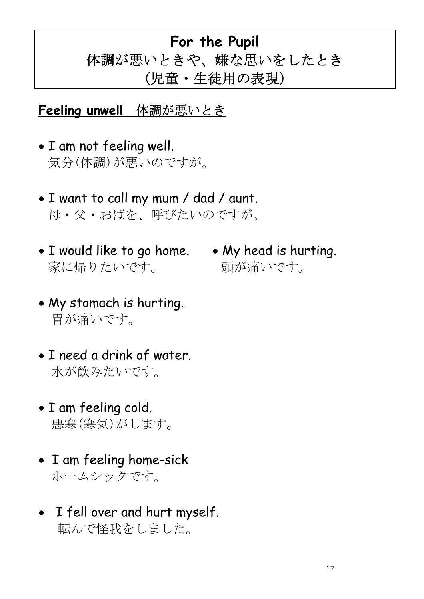## **For the Pupil** 体調が悪いときや、嫌な思いをしたとき (児童・生徒用の表現)

**Feeling unwell** 体調が悪いとき

- I am not feeling well. 気分(体調)が悪いのですが。
- I want to call my mum / dad / aunt. 母・父・おばを、呼びたいのですが。
- I would like to go home. My head is hurting. 家に帰りたいです。 頭が痛いです。
- My stomach is hurting. 胃が痛いです。
- I need a drink of water. 水が飲みたいです。
- I am feeling cold. 悪寒(寒気)がします。
- I am feeling home-sick ホームシックです。
- I fell over and hurt myself. 転んで怪我をしました。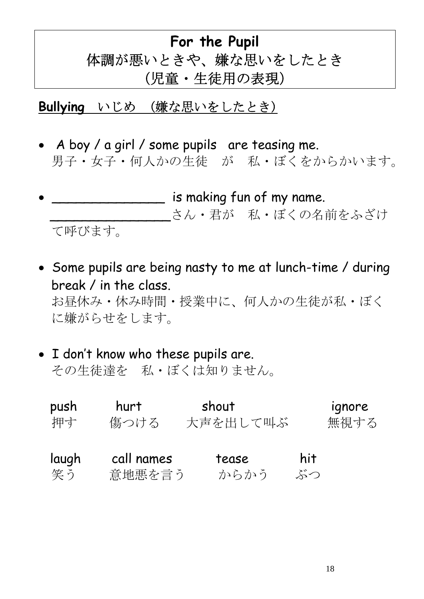## **For the Pupil** 体調が悪いときや、嫌な思いをしたとき (児童・生徒用の表現)

#### **Bullying** いじめ (嫌な思いをしたとき)

- A boy / a girl / some pupils are teasing me. 男子・女子・何人かの生徒 が 私・ぼくをからかいます。
- **Fig. 2.2.5** is making fun of my name. さん・君が 私・ぼくの名前をふざけ て呼びます。
- Some pupils are being nasty to me at lunch-time / during break / in the class. お昼休み・休み時間・授業中に、何人かの生徒が私・ぼく に嫌がらせをします。
- I don't know who these pupils are. その生徒達を 私・ぼくは知りません。

| push  | hurt       | shout    |     | ignore |
|-------|------------|----------|-----|--------|
| 押す    | 傷つける       | 大声を出して叫ぶ |     | 無視する   |
| laugh | call names | tease    | hit |        |
| 笑う    | 意地悪を言う     | からかう     | ぶつ  |        |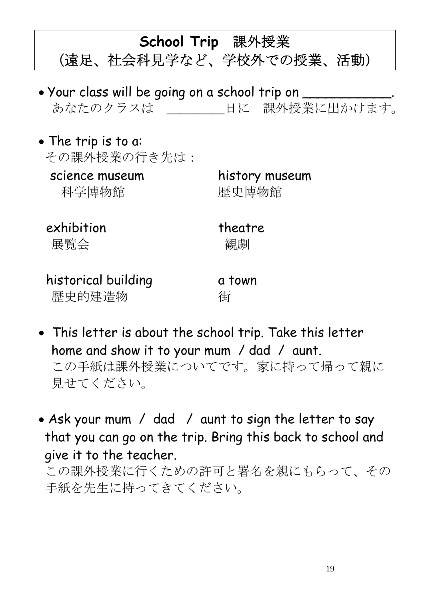**School Trip** 課外授業

## (遠足、社会科見学など、学校外での授業、活動)

- Your class will be going on a school trip on \_\_\_\_\_ あなたのクラスは アンコンコンコンコンコンティング まんじょう あなたのクラスは
- The trip is to a: その課外授業の行き先は:
	- 科学博物館 歴史博物館

# science museum history museum

exhibition theatre

展覧会 いっきょう 観劇

historical building a town 歴史的建造物 有

- This letter is about the school trip. Take this letter home and show it to your mum / dad / aunt. この手紙は課外授業についてです。家に持って帰って親に 見せてください。
- Ask your mum / dad / aunt to sign the letter to say that you can go on the trip. Bring this back to school and give it to the teacher.

この課外授業に行くための許可と署名を親にもらって、その 手紙を先生に持ってきてください。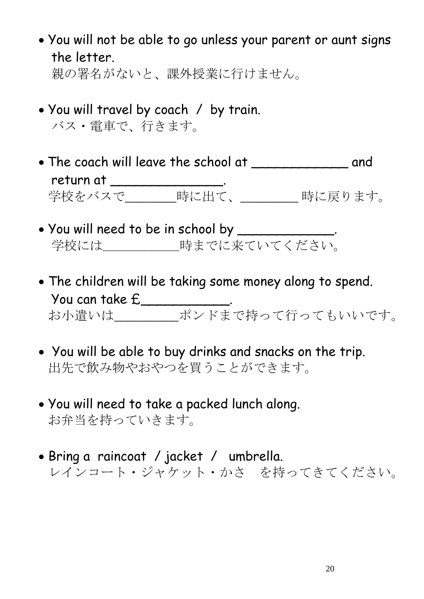- You will not be able to go unless your parent or aunt signs the letter. 親の署名がないと、課外授業に行けません。
- You will travel by coach / by train. バス・電車で、行きます。
- The coach will leave the school at \_\_\_\_\_\_\_\_\_\_\_\_ and return at \_\_\_\_\_\_\_\_\_\_\_\_\_\_\_\_\_. 学校をバスで\_\_\_\_\_\_\_\_時に出て、\_\_\_\_\_\_\_\_\_ 時に戻ります。
- $\bullet$  You will need to be in school by \_\_\_\_\_\_\_\_\_\_\_\_. 学校には\_\_\_\_\_\_\_\_\_\_\_\_時までに来ていてください。
- The children will be taking some money along to spend. You can take £\_\_\_\_\_\_\_\_\_\_\_. お小遣いは\_\_\_\_\_\_\_\_\_\_ポンドまで持って行ってもいいです。
- You will be able to buy drinks and snacks on the trip. 出先で飲み物やおやつを買うことができます。
- You will need to take a packed lunch along. お弁当を持っていきます。
- Bring a raincoat / jacket / umbrella. レインコート・ジャケット・かさ を持ってきてください。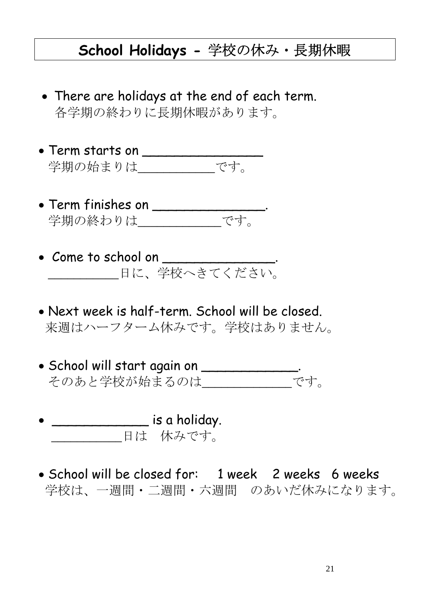#### **School Holidays -** 学校の休み・長期休暇

- There are holidays at the end of each term. 各学期の終わりに長期休暇があります。
- $\bullet$  Term starts on \_\_\_\_\_\_\_\_\_\_\_\_\_\_\_\_\_\_\_ 学期の始まりは\_\_\_\_\_\_\_\_\_\_\_\_です。
- $\bullet$  Term finishes on \_\_\_\_\_\_\_\_\_\_\_\_\_\_\_. 学期の終わりは\_\_\_\_\_\_\_\_\_\_\_\_\_です。
- Come to school on \_\_\_\_\_\_\_\_\_\_\_\_\_\_. \_\_\_\_\_\_\_\_\_\_\_\_日に、学校へきてください。
- Next week is half-term. School will be closed. 来週はハーフターム休みです。学校はありません。
- School will start again on \_\_\_\_\_\_\_\_\_\_\_\_. そのあと学校が始まるのは\_\_\_\_\_\_\_\_\_\_\_\_\_\_です。
- \_\_\_\_\_\_\_\_\_\_\_\_ is a holiday. 日は 休みです。
- School will be closed for: 1 week 2 weeks 6 weeks 学校は、一週間・二週間・六週間 のあいだ休みになります。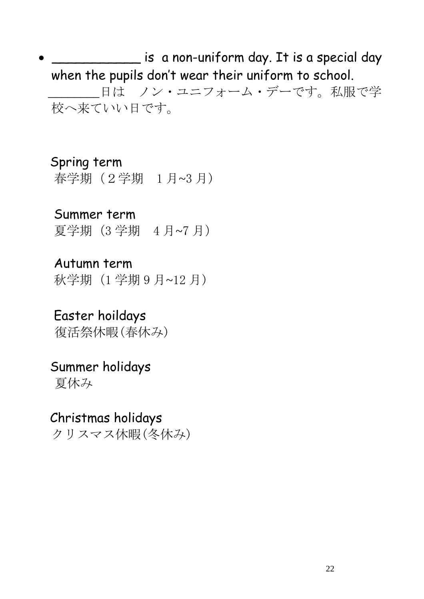• \_\_\_\_\_\_\_\_\_\_\_ is a non-uniform day. It is a special day when the pupils don't wear their uniform to school. \_\_\_\_\_\_\_\_日は ノン・ユニフォーム・デーです。私服で学 校へ来ていい日です。

 Spring term 春学期(2学期 1 月~3 月)

 Summer term 夏学期(3 学期 4 月~7 月)

 Autumn term 秋学期(1 学期 9 月~12 月)

 Easter hoildays 復活祭休暇(春休み)

 Summer holidays 夏休み

 Christmas holidays クリスマス休暇(冬休み)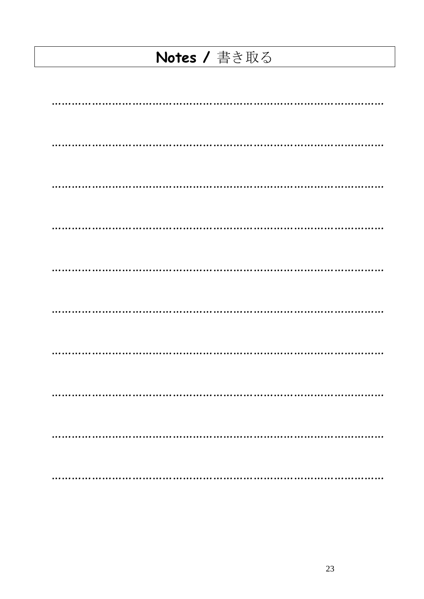## Notes / 書き取る